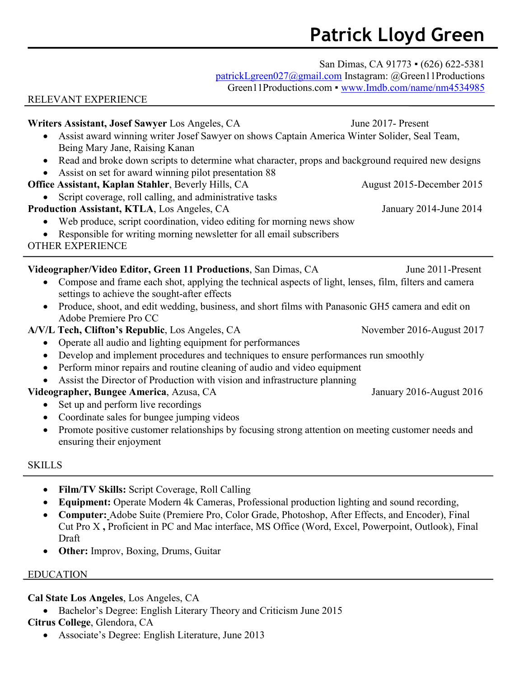# **Patrick Lloyd Green**

San Dimas, CA 91773 • (626) 622-5381

[patrickLgreen027@gmail.com](mailto:patrickLgreen027@gmail.com) Instagram: @Green11Productions

Green11Productions.com • [www.Imdb.com/name/nm4534985](http://www.imdb.com/name/nm4534985)

#### RELEVANT EXPERIENCE

**Writers Assistant, Josef Sawyer** Los Angeles, CA June 2017- Present • Assist award winning writer Josef Sawyer on shows Captain America Winter Solider, Seal Team, Being Mary Jane, Raising Kanan • Read and broke down scripts to determine what character, props and background required new designs • Assist on set for award winning pilot presentation 88 **Office Assistant, Kaplan Stahler**, Beverly Hills, CA August 2015-December 2015 • Script coverage, roll calling, and administrative tasks **Production Assistant, KTLA**, Los Angeles, CA January 2014-June 2014 • Web produce, script coordination, video editing for morning news show • Responsible for writing morning newsletter for all email subscribers OTHER EXPERIENCE **Videographer/Video Editor, Green 11 Productions**, San Dimas, CA June 2011-Present • Compose and frame each shot, applying the technical aspects of light, lenses, film, filters and camera settings to achieve the sought-after effects • Produce, shoot, and edit wedding, business, and short films with Panasonic GH5 camera and edit on Adobe Premiere Pro CC **A/V/L Tech, Clifton's Republic**, Los Angeles, CA November 2016-August 2017 • Operate all audio and lighting equipment for performances • Develop and implement procedures and techniques to ensure performances run smoothly • Perform minor repairs and routine cleaning of audio and video equipment • Assist the Director of Production with vision and infrastructure planning **Videographer, Bungee America**, Azusa, CA January 2016-August 2016 • Set up and perform live recordings

- Coordinate sales for bungee jumping videos
- Promote positive customer relationships by focusing strong attention on meeting customer needs and ensuring their enjoyment

## SKILLS

- **Film/TV Skills:** Script Coverage, Roll Calling
- **Equipment:** Operate Modern 4k Cameras, Professional production lighting and sound recording,
- **Computer:** Adobe Suite (Premiere Pro, Color Grade, Photoshop, After Effects, and Encoder), Final Cut Pro X **,** Proficient in PC and Mac interface, MS Office (Word, Excel, Powerpoint, Outlook), Final Draft
- **Other:** Improv, Boxing, Drums, Guitar

## EDUCATION

## **Cal State Los Angeles**, Los Angeles, CA

• Bachelor's Degree: English Literary Theory and Criticism June 2015

# **Citrus College**, Glendora, CA

• Associate's Degree: English Literature, June 2013